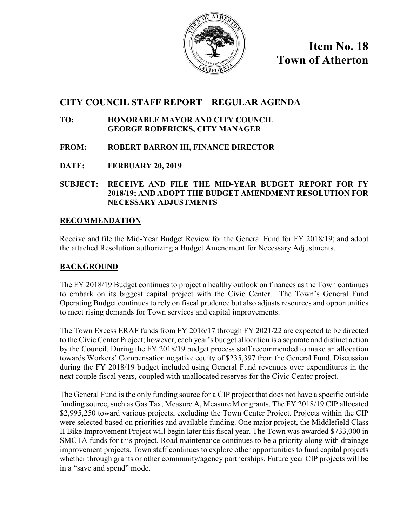

**Item No. 18 Town of Atherton**

# **CITY COUNCIL STAFF REPORT – REGULAR AGENDA**

## **TO: HONORABLE MAYOR AND CITY COUNCIL GEORGE RODERICKS, CITY MANAGER**

- **FROM: ROBERT BARRON III, FINANCE DIRECTOR**
- **DATE: FERBUARY 20, 2019**

## **SUBJECT: RECEIVE AND FILE THE MID-YEAR BUDGET REPORT FOR FY 2018/19; AND ADOPT THE BUDGET AMENDMENT RESOLUTION FOR NECESSARY ADJUSTMENTS**

## **RECOMMENDATION**

Receive and file the Mid-Year Budget Review for the General Fund for FY 2018/19; and adopt the attached Resolution authorizing a Budget Amendment for Necessary Adjustments.

## **BACKGROUND**

The FY 2018/19 Budget continues to project a healthy outlook on finances as the Town continues to embark on its biggest capital project with the Civic Center. The Town's General Fund Operating Budget continues to rely on fiscal prudence but also adjusts resources and opportunities to meet rising demands for Town services and capital improvements.

The Town Excess ERAF funds from FY 2016/17 through FY 2021/22 are expected to be directed to the Civic Center Project; however, each year's budget allocation is a separate and distinct action by the Council. During the FY 2018/19 budget process staff recommended to make an allocation towards Workers' Compensation negative equity of \$235,397 from the General Fund. Discussion during the FY 2018/19 budget included using General Fund revenues over expenditures in the next couple fiscal years, coupled with unallocated reserves for the Civic Center project.

The General Fund is the only funding source for a CIP project that does not have a specific outside funding source, such as Gas Tax, Measure A, Measure M or grants. The FY 2018/19 CIP allocated \$2,995,250 toward various projects, excluding the Town Center Project. Projects within the CIP were selected based on priorities and available funding. One major project, the Middlefield Class II Bike Improvement Project will begin later this fiscal year. The Town was awarded \$733,000 in SMCTA funds for this project. Road maintenance continues to be a priority along with drainage improvement projects. Town staff continues to explore other opportunities to fund capital projects whether through grants or other community/agency partnerships. Future year CIP projects will be in a "save and spend" mode.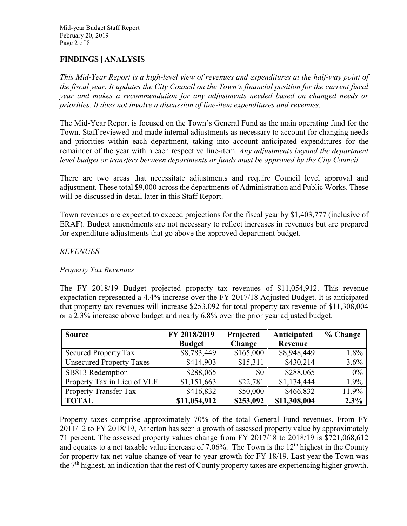## **FINDINGS | ANALYSIS**

*This Mid-Year Report is a high-level view of revenues and expenditures at the half-way point of the fiscal year. It updates the City Council on the Town's financial position for the current fiscal year and makes a recommendation for any adjustments needed based on changed needs or priorities. It does not involve a discussion of line-item expenditures and revenues.* 

The Mid-Year Report is focused on the Town's General Fund as the main operating fund for the Town. Staff reviewed and made internal adjustments as necessary to account for changing needs and priorities within each department, taking into account anticipated expenditures for the remainder of the year within each respective line-item. *Any adjustments beyond the department level budget or transfers between departments or funds must be approved by the City Council.*

There are two areas that necessitate adjustments and require Council level approval and adjustment. These total \$9,000 across the departments of Administration and Public Works. These will be discussed in detail later in this Staff Report.

Town revenues are expected to exceed projections for the fiscal year by \$1,403,777 (inclusive of ERAF). Budget amendments are not necessary to reflect increases in revenues but are prepared for expenditure adjustments that go above the approved department budget.

### *REVENUES*

#### *Property Tax Revenues*

The FY 2018/19 Budget projected property tax revenues of \$11,054,912. This revenue expectation represented a 4.4% increase over the FY 2017/18 Adjusted Budget. It is anticipated that property tax revenues will increase \$253,092 for total property tax revenue of \$11,308,004 or a 2.3% increase above budget and nearly 6.8% over the prior year adjusted budget.

| <b>Source</b>                   | FY 2018/2019  | Projected | Anticipated  | % Change |
|---------------------------------|---------------|-----------|--------------|----------|
|                                 | <b>Budget</b> | Change    | Revenue      |          |
| <b>Secured Property Tax</b>     | \$8,783,449   | \$165,000 | \$8,948,449  | 1.8%     |
| <b>Unsecured Property Taxes</b> | \$414,903     | \$15,311  | \$430,214    | 3.6%     |
| SB813 Redemption                | \$288,065     | \$0       | \$288,065    | 0%       |
| Property Tax in Lieu of VLF     | \$1,151,663   | \$22,781  | \$1,174,444  | 1.9%     |
| <b>Property Transfer Tax</b>    | \$416,832     | \$50,000  | \$466,832    | 11.9%    |
| <b>TOTAL</b>                    | \$11,054,912  | \$253,092 | \$11,308,004 | 2.3%     |

Property taxes comprise approximately 70% of the total General Fund revenues. From FY 2011/12 to FY 2018/19, Atherton has seen a growth of assessed property value by approximately 71 percent. The assessed property values change from FY 2017/18 to 2018/19 is \$721,068,612 and equates to a net taxable value increase of 7.06%. The Town is the  $12<sup>th</sup>$  highest in the County for property tax net value change of year-to-year growth for FY 18/19. Last year the Town was the  $7<sup>th</sup>$  highest, an indication that the rest of County property taxes are experiencing higher growth.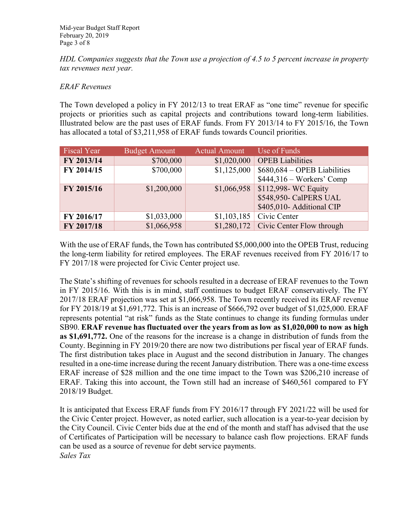*HDL Companies suggests that the Town use a projection of 4.5 to 5 percent increase in property tax revenues next year.*

### *ERAF Revenues*

The Town developed a policy in FY 2012/13 to treat ERAF as "one time" revenue for specific projects or priorities such as capital projects and contributions toward long-term liabilities. Illustrated below are the past uses of ERAF funds. From FY 2013/14 to FY 2015/16, the Town has allocated a total of \$3,211,958 of ERAF funds towards Council priorities.

| <b>Fiscal Year</b> | <b>Budget Amount</b> | <b>Actual Amount</b> | Use of Funds                           |
|--------------------|----------------------|----------------------|----------------------------------------|
| FY 2013/14         | \$700,000            | \$1,020,000          | <b>OPEB</b> Liabilities                |
| FY 2014/15         | \$700,000            | \$1,125,000          | $$680,684 - OPERB Liabilities$         |
|                    |                      |                      | $$444,316 - Works' Comp$               |
| FY 2015/16         | \$1,200,000          | \$1,066,958          | \$112,998- WC Equity                   |
|                    |                      |                      | \$548,950- CalPERS UAL                 |
|                    |                      |                      | \$405,010- Additional CIP              |
| FY 2016/17         | \$1,033,000          | \$1,103,185          | Civic Center                           |
| FY 2017/18         | \$1,066,958          |                      | $$1,280,172$ Civic Center Flow through |

With the use of ERAF funds, the Town has contributed \$5,000,000 into the OPEB Trust, reducing the long-term liability for retired employees. The ERAF revenues received from FY 2016/17 to FY 2017/18 were projected for Civic Center project use.

The State's shifting of revenues for schools resulted in a decrease of ERAF revenues to the Town in FY 2015/16. With this is in mind, staff continues to budget ERAF conservatively. The FY 2017/18 ERAF projection was set at \$1,066,958. The Town recently received its ERAF revenue for FY 2018/19 at \$1,691,772. This is an increase of \$666,792 over budget of \$1,025,000. ERAF represents potential "at risk" funds as the State continues to change its funding formulas under SB90. **ERAF revenue has fluctuated over the years from as low as \$1,020,000 to now as high as \$1,691,772.** One of the reasons for the increase is a change in distribution of funds from the County. Beginning in FY 2019/20 there are now two distributions per fiscal year of ERAF funds. The first distribution takes place in August and the second distribution in January. The changes resulted in a one-time increase during the recent January distribution. There was a one-time excess ERAF increase of \$28 million and the one time impact to the Town was \$206,210 increase of ERAF. Taking this into account, the Town still had an increase of \$460,561 compared to FY 2018/19 Budget.

It is anticipated that Excess ERAF funds from FY 2016/17 through FY 2021/22 will be used for the Civic Center project. However, as noted earlier, such allocation is a year-to-year decision by the City Council. Civic Center bids due at the end of the month and staff has advised that the use of Certificates of Participation will be necessary to balance cash flow projections. ERAF funds can be used as a source of revenue for debt service payments. *Sales Tax*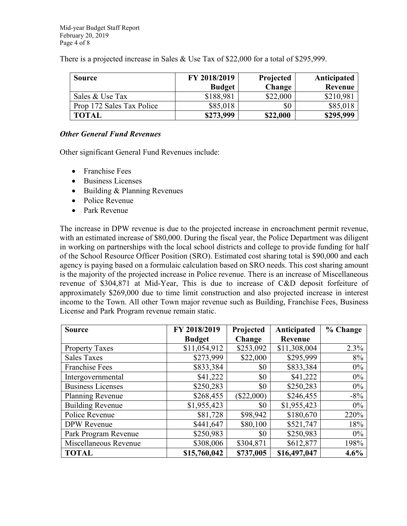There is a projected increase in Sales & Use Tax of \$22,000 for a total of \$295,999.

| <b>Source</b>             | FY 2018/2019  | Projected | Anticipated |
|---------------------------|---------------|-----------|-------------|
|                           | <b>Budget</b> | Change    | Revenue     |
| Sales & Use Tax           | \$188,981     | \$22,000  | \$210,981   |
| Prop 172 Sales Tax Police | \$85,018      | \$0       | \$85,018    |
| <b>TOTAL</b>              | \$273,999     | \$22,000  | \$295,999   |

#### *Other General Fund Revenues*

Other significant General Fund Revenues include:

- Franchise Fees
- Business Licenses
- Building & Planning Revenues
- Police Revenue
- Park Revenue

The increase in DPW revenue is due to the projected increase in encroachment permit revenue, with an estimated increase of \$80,000. During the fiscal year, the Police Department was diligent in working on partnerships with the local school districts and college to provide funding for half of the School Resource Officer Position (SRO). Estimated cost sharing total is \$90,000 and each agency is paying based on a formulaic calculation based on SRO needs. This cost sharing amount is the majority of the projected increase in Police revenue. There is an increase of Miscellaneous revenue of \$304,871 at Mid-Year, This is due to increase of C&D deposit forfeiture of approximately \$269,000 due to time limit construction and also projected increase in interest income to the Town. All other Town major revenue such as Building, Franchise Fees, Business License and Park Program revenue remain static.

| <b>Source</b>            | FY 2018/2019  | Projected    | Anticipated  | % Change |
|--------------------------|---------------|--------------|--------------|----------|
|                          | <b>Budget</b> | Change       | Revenue      |          |
| <b>Property Taxes</b>    | \$11,054,912  | \$253,092    | \$11,308,004 | 2.3%     |
| <b>Sales Taxes</b>       | \$273,999     | \$22,000     | \$295,999    | 8%       |
| <b>Franchise Fees</b>    | \$833,384     | \$0          | \$833,384    | $0\%$    |
| Intergovernmental        | \$41,222      | \$0          | \$41,222     | $0\%$    |
| <b>Business Licenses</b> | \$250,283     | \$0          | \$250,283    | $0\%$    |
| Planning Revenue         | \$268,455     | $(\$22,000)$ | \$246,455    | $-8\%$   |
| <b>Building Revenue</b>  | \$1,955,423   | \$0          | \$1,955,423  | $0\%$    |
| Police Revenue           | \$81,728      | \$98,942     | \$180,670    | 220%     |
| <b>DPW</b> Revenue       | \$441,647     | \$80,100     | \$521,747    | 18%      |
| Park Program Revenue     | \$250,983     | \$0          | \$250,983    | $0\%$    |
| Miscellaneous Revenue    | \$308,006     | \$304,871    | \$612,877    | 198%     |
| <b>TOTAL</b>             | \$15,760,042  | \$737,005    | \$16,497,047 | 4.6%     |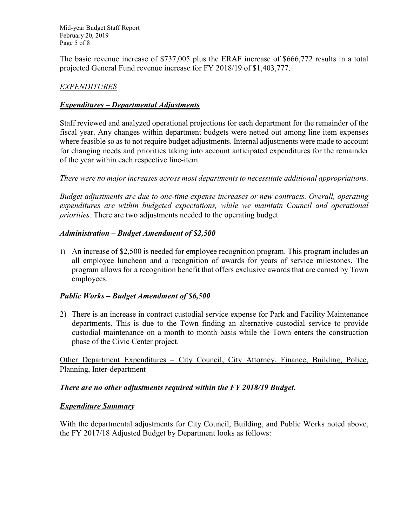Mid-year Budget Staff Report February 20, 2019 Page 5 of 8

The basic revenue increase of \$737,005 plus the ERAF increase of \$666,772 results in a total projected General Fund revenue increase for FY 2018/19 of \$1,403,777.

## *EXPENDITURES*

### *Expenditures – Departmental Adjustments*

Staff reviewed and analyzed operational projections for each department for the remainder of the fiscal year. Any changes within department budgets were netted out among line item expenses where feasible so as to not require budget adjustments. Internal adjustments were made to account for changing needs and priorities taking into account anticipated expenditures for the remainder of the year within each respective line-item.

*There were no major increases across most departments to necessitate additional appropriations.* 

*Budget adjustments are due to one-time expense increases or new contracts. Overall, operating expenditures are within budgeted expectations, while we maintain Council and operational priorities.* There are two adjustments needed to the operating budget.

### *Administration – Budget Amendment of \$2,500*

1) An increase of \$2,500 is needed for employee recognition program. This program includes an all employee luncheon and a recognition of awards for years of service milestones. The program allows for a recognition benefit that offers exclusive awards that are earned by Town employees.

#### *Public Works – Budget Amendment of \$6,500*

2) There is an increase in contract custodial service expense for Park and Facility Maintenance departments. This is due to the Town finding an alternative custodial service to provide custodial maintenance on a month to month basis while the Town enters the construction phase of the Civic Center project.

Other Department Expenditures – City Council, City Attorney, Finance, Building, Police, Planning, Inter-department

#### *There are no other adjustments required within the FY 2018/19 Budget.*

#### *Expenditure Summary*

With the departmental adjustments for City Council, Building, and Public Works noted above, the FY 2017/18 Adjusted Budget by Department looks as follows: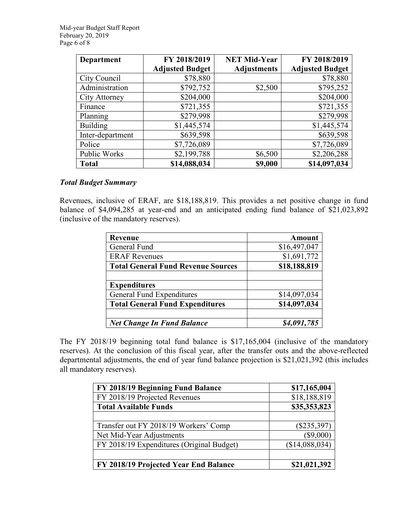| <b>Department</b> | FY 2018/2019           | <b>NET Mid-Year</b> | FY 2018/2019           |
|-------------------|------------------------|---------------------|------------------------|
|                   | <b>Adjusted Budget</b> | <b>Adjustments</b>  | <b>Adjusted Budget</b> |
| City Council      | \$78,880               |                     | \$78,880               |
| Administration    | \$792,752              | \$2,500             | \$795,252              |
| City Attorney     | \$204,000              |                     | \$204,000              |
| Finance           | \$721,355              |                     | \$721,355              |
| Planning          | \$279,998              |                     | \$279,998              |
| <b>Building</b>   | \$1,445,574            |                     | \$1,445,574            |
| Inter-department  | \$639,598              |                     | \$639,598              |
| Police            | \$7,726,089            |                     | \$7,726,089            |
| Public Works      | \$2,199,788            | \$6,500             | \$2,206,288            |
| <b>Total</b>      | \$14,088,034           | \$9,000             | \$14,097,034           |

### *Total Budget Summary*

Revenues, inclusive of ERAF, are \$18,188,819. This provides a net positive change in fund balance of \$4,094,285 at year-end and an anticipated ending fund balance of \$21,023,892 (inclusive of the mandatory reserves).

| Revenue                                   | <b>Amount</b> |
|-------------------------------------------|---------------|
| General Fund                              | \$16,497,047  |
| <b>ERAF Revenues</b>                      | \$1,691,772   |
| <b>Total General Fund Revenue Sources</b> | \$18,188,819  |
|                                           |               |
| <b>Expenditures</b>                       |               |
| <b>General Fund Expenditures</b>          | \$14,097,034  |
| <b>Total General Fund Expenditures</b>    | \$14,097,034  |
| <b>Net Change In Fund Balance</b>         | \$4,091,785   |

The FY 2018/19 beginning total fund balance is \$17,165,004 (inclusive of the mandatory reserves). At the conclusion of this fiscal year, after the transfer outs and the above-reflected departmental adjustments, the end of year fund balance projection is \$21,021,392 (this includes all mandatory reserves).

| FY 2018/19 Beginning Fund Balance         | \$17,165,004   |
|-------------------------------------------|----------------|
| FY 2018/19 Projected Revenues             | \$18,188,819   |
| <b>Total Available Funds</b>              | \$35,353,823   |
|                                           |                |
| Transfer out FY 2018/19 Workers' Comp     | $(\$235,397)$  |
| Net Mid-Year Adjustments                  | $(\$9,000)$    |
| FY 2018/19 Expenditures (Original Budget) | (\$14,088,034) |
|                                           |                |
| FY 2018/19 Projected Year End Balance     | \$21,021,392   |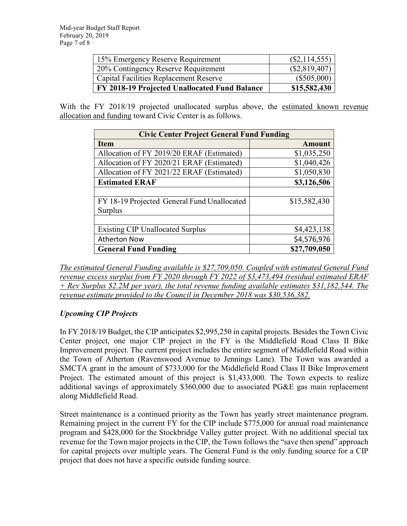| 15% Emergency Reserve Requirement             | $(\$2,114,555)$ |
|-----------------------------------------------|-----------------|
| 20% Contingency Reserve Requirement           | (\$2,819,407)   |
| Capital Facilities Replacement Reserve        | $(\$505,000)$   |
| FY 2018-19 Projected Unallocated Fund Balance | \$15,582,430    |

With the FY 2018/19 projected unallocated surplus above, the estimated known revenue allocation and funding toward Civic Center is as follows.

| <b>Civic Center Project General Fund Funding</b> |               |  |  |
|--------------------------------------------------|---------------|--|--|
| <b>Item</b>                                      | <b>Amount</b> |  |  |
| Allocation of FY 2019/20 ERAF (Estimated)        | \$1,035,250   |  |  |
| Allocation of FY 2020/21 ERAF (Estimated)        | \$1,040,426   |  |  |
| Allocation of FY 2021/22 ERAF (Estimated)        | \$1,050,830   |  |  |
| <b>Estimated ERAF</b>                            | \$3,126,506   |  |  |
|                                                  |               |  |  |
| FY 18-19 Projected General Fund Unallocated      | \$15,582,430  |  |  |
| Surplus                                          |               |  |  |
|                                                  |               |  |  |
| <b>Existing CIP Unallocated Surplus</b>          | \$4,423,138   |  |  |
| <b>Atherton Now</b>                              | \$4,576,976   |  |  |
| <b>General Fund Funding</b>                      | \$27,709,050  |  |  |

*The estimated General Funding available is \$27,709,050. Coupled with estimated General Fund revenue excess surplus from FY 2020 through FY 2022 of \$3,473,494 (residual estimated ERAF + Rev Surplus \$2.2M per year), the total revenue funding available estimates \$31,182,544. The revenue estimate provided to the Council in December 2018 was \$30,536,382.*

## *Upcoming CIP Projects*

In FY 2018/19 Budget, the CIP anticipates \$2,995,250 in capital projects. Besides the Town Civic Center project, one major CIP project in the FY is the Middlefield Road Class II Bike Improvement project. The current project includes the entire segment of Middlefield Road within the Town of Atherton (Ravenswood Avenue to Jennings Lane). The Town was awarded a SMCTA grant in the amount of \$733,000 for the Middlefield Road Class II Bike Improvement Project. The estimated amount of this project is \$1,433,000. The Town expects to realize additional savings of approximately \$360,000 due to associated PG&E gas main replacement along Middlefield Road.

Street maintenance is a continued priority as the Town has yearly street maintenance program. Remaining project in the current FY for the CIP include \$775,000 for annual road maintenance program and \$428,000 for the Stockbridge Valley gutter project. With no additional special tax revenue for the Town major projects in the CIP, the Town follows the "save then spend" approach for capital projects over multiple years. The General Fund is the only funding source for a CIP project that does not have a specific outside funding source.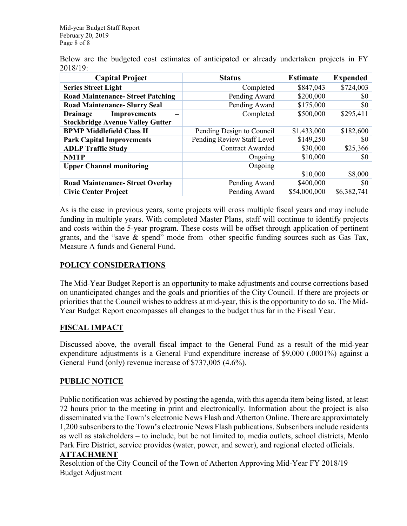Below are the budgeted cost estimates of anticipated or already undertaken projects in FY 2018/19:

| <b>Capital Project</b>                   | <b>Status</b>              | <b>Estimate</b> | <b>Expended</b> |
|------------------------------------------|----------------------------|-----------------|-----------------|
| <b>Series Street Light</b>               | Completed                  | \$847,043       | \$724,003       |
| <b>Road Maintenance- Street Patching</b> | Pending Award              | \$200,000       | SO.             |
| <b>Road Maintenance- Slurry Seal</b>     | Pending Award              | \$175,000       | \$0             |
| <b>Improvements</b><br><b>Drainage</b>   | Completed                  | \$500,000       | \$295,411       |
| <b>Stockbridge Avenue Valley Gutter</b>  |                            |                 |                 |
| <b>BPMP Middlefield Class II</b>         | Pending Design to Council  | \$1,433,000     | \$182,600       |
| <b>Park Capital Improvements</b>         | Pending Review Staff Level | \$149,250       | SO.             |
| <b>ADLP Traffic Study</b>                | <b>Contract Awarded</b>    | \$30,000        | \$25,366        |
| <b>NMTP</b>                              | Ongoing                    | \$10,000        | SO.             |
| <b>Upper Channel monitoring</b>          | Ongoing                    |                 |                 |
|                                          |                            | \$10,000        | \$8,000         |
| <b>Road Maintenance- Street Overlay</b>  | Pending Award              | \$400,000       | \$0             |
| <b>Civic Center Project</b>              | Pending Award              | \$54,000,000    | \$6,382,741     |

As is the case in previous years, some projects will cross multiple fiscal years and may include funding in multiple years. With completed Master Plans, staff will continue to identify projects and costs within the 5-year program. These costs will be offset through application of pertinent grants, and the "save & spend" mode from other specific funding sources such as Gas Tax, Measure A funds and General Fund.

## **POLICY CONSIDERATIONS**

The Mid-Year Budget Report is an opportunity to make adjustments and course corrections based on unanticipated changes and the goals and priorities of the City Council. If there are projects or priorities that the Council wishes to address at mid-year, this is the opportunity to do so. The Mid-Year Budget Report encompasses all changes to the budget thus far in the Fiscal Year.

## **FISCAL IMPACT**

Discussed above, the overall fiscal impact to the General Fund as a result of the mid-year expenditure adjustments is a General Fund expenditure increase of \$9,000 (.0001%) against a General Fund (only) revenue increase of \$737,005 (4.6%).

## **PUBLIC NOTICE**

Public notification was achieved by posting the agenda, with this agenda item being listed, at least 72 hours prior to the meeting in print and electronically. Information about the project is also disseminated via the Town's electronic News Flash and Atherton Online. There are approximately 1,200 subscribers to the Town's electronic News Flash publications. Subscribers include residents as well as stakeholders – to include, but be not limited to, media outlets, school districts, Menlo Park Fire District, service provides (water, power, and sewer), and regional elected officials.

## **ATTACHMENT**

Resolution of the City Council of the Town of Atherton Approving Mid-Year FY 2018/19 Budget Adjustment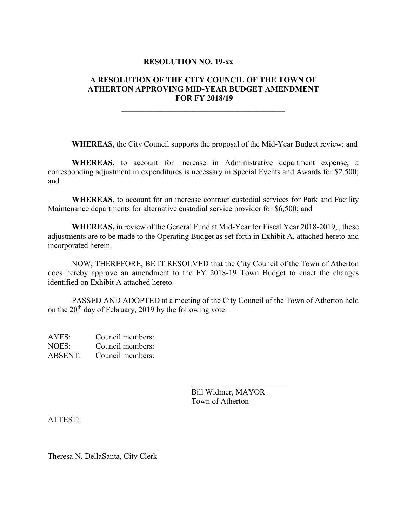#### **RESOLUTION NO. 19-xx**

## **A RESOLUTION OF THE CITY COUNCIL OF THE TOWN OF ATHERTON APPROVING MID-YEAR BUDGET AMENDMENT FOR FY 2018/19**

**\_\_\_\_\_\_\_\_\_\_\_\_\_\_\_\_\_\_\_\_\_\_\_\_\_\_\_\_\_\_\_\_\_\_\_\_\_\_\_\_\_**

**WHEREAS,** the City Council supports the proposal of the Mid-Year Budget review; and

**WHEREAS,** to account for increase in Administrative department expense, a corresponding adjustment in expenditures is necessary in Special Events and Awards for \$2,500; and

**WHEREAS**, to account for an increase contract custodial services for Park and Facility Maintenance departments for alternative custodial service provider for \$6,500; and

**WHEREAS,** in review of the General Fund at Mid-Year for Fiscal Year 2018-2019, , these adjustments are to be made to the Operating Budget as set forth in Exhibit A, attached hereto and incorporated herein.

NOW, THEREFORE, BE IT RESOLVED that the City Council of the Town of Atherton does hereby approve an amendment to the FY 2018-19 Town Budget to enact the changes identified on Exhibit A attached hereto.

PASSED AND ADOPTED at a meeting of the City Council of the Town of Atherton held on the  $20<sup>th</sup>$  day of February, 2019 by the following vote:

AYES: Council members: NOES: Council members: ABSENT: Council members:

> Bill Widmer, MAYOR Town of Atherton

\_\_\_\_\_\_\_\_\_\_\_\_\_\_\_\_\_\_\_\_\_\_\_\_

ATTEST:

 $\mathcal{L}_\mathcal{L}$  , which is a set of the set of the set of the set of the set of the set of the set of the set of the set of the set of the set of the set of the set of the set of the set of the set of the set of the set of Theresa N. DellaSanta, City Clerk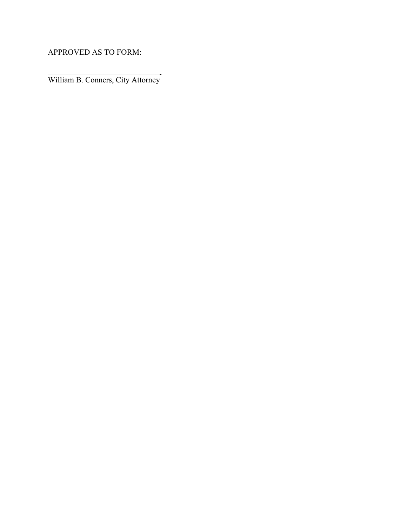APPROVED AS TO FORM:

 $\mathcal{L}_\mathcal{L}$  , which is a set of the set of the set of the set of the set of the set of the set of the set of the set of the set of the set of the set of the set of the set of the set of the set of the set of the set of William B. Conners, City Attorney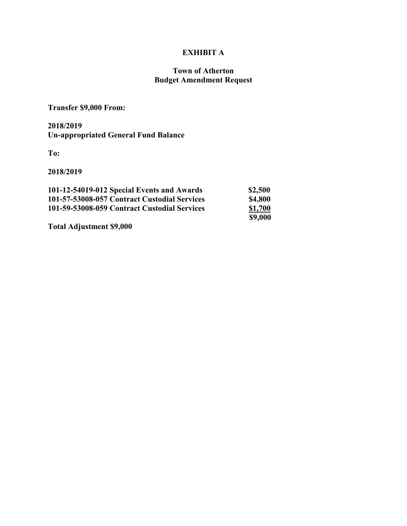# **EXHIBIT A**

### **Town of Atherton Budget Amendment Request**

## **Transfer \$9,000 From:**

## **2018/2019 Un-appropriated General Fund Balance**

**To:**

**2018/2019**

| 101-12-54019-012 Special Events and Awards   | \$2,500        |
|----------------------------------------------|----------------|
| 101-57-53008-057 Contract Custodial Services | <b>\$4,800</b> |
| 101-59-53008-059 Contract Custodial Services | \$1,700        |
|                                              | \$9,000        |

**Total Adjustment \$9,000**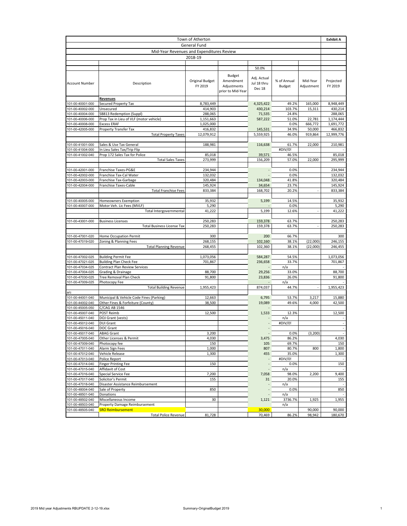| Town of Atherton                          |                                                               |                                   |                                                         | <b>Exhibit A</b>                              |                              |                        |                        |
|-------------------------------------------|---------------------------------------------------------------|-----------------------------------|---------------------------------------------------------|-----------------------------------------------|------------------------------|------------------------|------------------------|
|                                           |                                                               | General Fund                      |                                                         |                                               |                              |                        |                        |
| Mid-Year Revenues and Expenditures Review |                                                               |                                   |                                                         |                                               |                              |                        |                        |
|                                           |                                                               | 2018-19                           |                                                         |                                               |                              |                        |                        |
|                                           |                                                               |                                   |                                                         |                                               |                              |                        |                        |
| <b>Account Number</b>                     | Description                                                   | <b>Original Budget</b><br>FY 2019 | Budget<br>Amendment<br>Adjustments<br>prior to Mid-Year | 50.0%<br>Adj. Actual<br>Jul 18 thru<br>Dec 18 | % of Annual<br><b>Budget</b> | Mid-Year<br>Adjustment | Projected<br>FY 2019   |
|                                           | <b>Revenues</b>                                               |                                   |                                                         |                                               |                              |                        |                        |
| 101-00-40001-000                          | Secured Property Tax                                          | 8,783,449                         |                                                         | 4,325,422                                     | 49.2%                        | 165,000                | 8,948,449              |
| 101-00-40002-000                          | Unsecured                                                     | 414,903                           |                                                         | 430,214                                       | 103.7%                       | 15,311                 | 430,214                |
| 101-00-40004-000                          | SB813 Redemption (Suppl)                                      | 288,065                           |                                                         | 71,535                                        | 24.8%                        |                        | 288,065                |
| 101-00-40006-000<br>101-00-40008-000      | Prop Tax in Lieu of VLF (motor vehicle)<br><b>Excess ERAF</b> | 1,151,663<br>1,025,000            |                                                         | 587,222                                       | 51.0%<br>0.0%                | 22,781<br>666,772      | 1,174,444<br>1,691,772 |
| 101-00-42005-000                          | Property Transfer Tax                                         | 416,832                           |                                                         | 145,531                                       | 34.9%                        | 50,000                 | 466,832                |
|                                           | <b>Total Property Taxes</b>                                   | 12,079,912                        |                                                         | 5,559,925                                     | 46.0%                        | 919,864                | 12,999,776             |
|                                           |                                                               |                                   |                                                         |                                               |                              |                        |                        |
| 101-00-41001-000                          | Sales & Use Tax General                                       | 188,981                           |                                                         | 116,638                                       | 61.7%                        | 22,000                 | 210,981                |
| 101-00-41004-000                          | In Lieu Sales Tax/Trip Flip                                   |                                   |                                                         |                                               | #DIV/0!                      |                        |                        |
| 101-00-41002-040                          | Prop 172 Sales Tax for Police                                 | 85,018                            |                                                         | 39,571                                        | 46.5%                        |                        | 85,018                 |
|                                           | <b>Total Sales Taxes</b>                                      | 273,999                           |                                                         | 156,209                                       | 57.0%                        | 22,000                 | 295,999                |
| 01-00-42001-000                           | Franchise Taxes-PG&E                                          | 234,944                           |                                                         |                                               | 0.0%                         |                        | 234,944                |
| 101-00-42002-000                          | Franchise Tax-Cal Water                                       | 132,032                           |                                                         |                                               | 0.0%                         |                        | 132,032                |
| 101-00-42003-000                          | Franchise Tax-Garbage                                         | 320,484                           |                                                         | 134,048                                       | 41.8%                        |                        | 320,484                |
| 101-00-42004-000                          | Franchise Taxes-Cable                                         | 145,924                           |                                                         | 34,654                                        | 23.7%                        |                        | 145,924                |
|                                           | <b>Total Franchise Fees</b>                                   | 833,384                           |                                                         | 168,702                                       | 20.2%                        |                        | 833,384                |
|                                           |                                                               |                                   |                                                         |                                               |                              |                        |                        |
| 101-00-40005-000                          | Homeowners Exemption                                          | 35,932                            |                                                         | 5,199                                         | 14.5%<br>0.0%                |                        | 35,932                 |
| 101-00-40007-000                          | Motor Veh. Lic Fees (MVLF)<br>Total Intergovernmental         | 5,290<br>41,222                   |                                                         | 5,199                                         | 12.6%                        |                        | 5,290<br>41,222        |
|                                           |                                                               |                                   |                                                         |                                               |                              |                        |                        |
| 101-00-43001-000                          | <b>Business Licenses</b>                                      | 250,283                           |                                                         | 159,378                                       | 63.7%                        |                        | 250,283                |
|                                           | <b>Total Business License Tax</b>                             | 250,283                           |                                                         | 159,378                                       | 63.7%                        |                        | 250,283                |
|                                           |                                                               |                                   |                                                         |                                               |                              |                        |                        |
| 101-00-47001-020                          | Home Occupation Permit                                        | 300                               |                                                         | 200                                           | 66.7%                        |                        | 300                    |
| 101-00-47019-020                          | Zoning & Planning Fees<br><b>Total Planning Revenue</b>       | 268,155<br>268,455                |                                                         | 102,160<br>102,360                            | 38.1%<br>38.1%               | (22,000)<br>(22,000)   | 246,155<br>246,455     |
|                                           |                                                               |                                   |                                                         |                                               |                              |                        |                        |
| 101-00-47002-025                          | <b>Building Permit Fee</b>                                    | 1,073,056                         |                                                         | 584,287                                       | 54.5%                        |                        | 1,073,056              |
| 101-00-47021-025                          | <b>Building Plan Check Fee</b>                                | 701,867                           |                                                         | 236,658                                       | 33.7%                        |                        | 701,867                |
| 101-00-47034-025                          | Contract Plan Review Services                                 |                                   |                                                         |                                               | n/a                          |                        |                        |
| 101-00-47004-025                          | Grading & Drainage                                            | 88,700                            |                                                         | 29,256                                        | 33.0%                        |                        | 88,700                 |
| 101-00-47030-025<br>101-00-47009-025      | Tree Removal Plan Check<br>Photocopy Fee                      | 91,800                            |                                                         | 23,836                                        | 26.0%<br>n/a                 |                        | 91,800                 |
|                                           | <b>Total Building Revenue</b>                                 | 1,955,423                         |                                                         | 874,037                                       | 44.7%                        |                        | 1,955,423              |
| a/c                                       |                                                               |                                   |                                                         |                                               |                              |                        |                        |
| 101-00-44001-040                          | Municipal & Vehicle Code Fines (Parking)                      | 12,663                            |                                                         | 6,795                                         | 53.7%                        | 3,217                  | 15,880                 |
| 101-00-44002-040                          | Other Fines & Forfeiture (County)                             | 38,500                            |                                                         | 19,089                                        | 49.6%                        | 4,000                  | 42,500                 |
| 101-00-45005-050                          | C/CAG AB 1546                                                 |                                   |                                                         |                                               |                              |                        |                        |
| 101-00-45007-040                          | POST Reimb                                                    | 12,500                            |                                                         | 1,533                                         | 12.3%                        |                        | 12,500                 |
| 101-00-45011-040<br>101-00-45012-040      | DOJ Grant (vests)<br><b>DUI Grant</b>                         |                                   |                                                         |                                               | n/a<br>#DIV/0!               |                        |                        |
| 101-00-45016-040                          | DOC Grant                                                     |                                   |                                                         |                                               |                              |                        |                        |
| 101-00-45017-040                          | <b>ABAG Grant</b>                                             | 3,200                             |                                                         |                                               | 0.0%                         | (3,200)                |                        |
| 101-00-47005-040                          | Other Licenses & Permit                                       | 4,030                             |                                                         | 3,475                                         | 86.2%                        |                        | 4,030                  |
| 101-00-47009-040                          | Photocopy fee                                                 | 150                               |                                                         | 105                                           | 69.7%                        |                        | 150                    |
| 101-00-47011-040                          | Alarm Sign Fees                                               | 1,000                             |                                                         | 807                                           | 80.7%                        | 800                    | 1,800                  |
| 101-00-47012-040                          | Vehicle Release                                               | 1,300                             |                                                         | 455                                           | 35.0%                        |                        | 1,300                  |
| 101-00-47013-040<br>101-00-47014-040      | Police Report<br><b>Finger Printing Fee</b>                   | 150                               |                                                         |                                               | #DIV/0!<br>0.0%              |                        | 150                    |
| 101-00-47015-040                          | Affidavit of Cost                                             |                                   |                                                         |                                               | n/a                          |                        |                        |
| 101-00-47016-040                          | Special Service Fee                                           | 7,200                             |                                                         | 7,058                                         | 98.0%                        | 2,200                  | 9,400                  |
| 101-00-47017-040                          | Solicitor's Permit                                            | 155                               |                                                         | 31                                            | 20.0%                        |                        | 155                    |
| 101-00-47018-040                          | Disaster Assistance Reimbursement                             |                                   |                                                         |                                               | n/a                          |                        |                        |
| 101-00-48004-040                          | Sale of Property                                              | 850                               |                                                         |                                               | 0.0%                         |                        | 850                    |
| 101-00-48501-040<br>101-00-48502-040      | Donations<br>Miscellaneous Income                             | 30                                |                                                         |                                               | n/a<br>3736.7%               | 1,925                  | 1,955                  |
| 101-00-48503-040                          | Property Damage Reimbursement                                 |                                   |                                                         | 1,121                                         | n/a                          |                        |                        |
| 101-00-48505-040                          | <b>SRO Reimbursement</b>                                      |                                   |                                                         | 30,000                                        |                              | 90,000                 | 90,000                 |
|                                           | <b>Total Police Revenue</b>                                   | 81,728                            |                                                         | 70,469                                        | 86.2%                        | 98,942                 | 180,670                |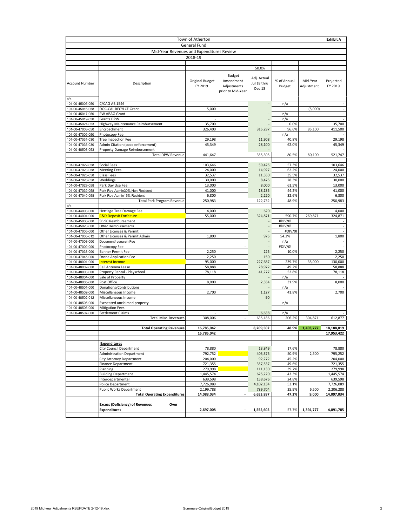| Town of Atherton                          |                                                           |                                   |                                                         |                                               |                              |                        |                      |  |  |  |
|-------------------------------------------|-----------------------------------------------------------|-----------------------------------|---------------------------------------------------------|-----------------------------------------------|------------------------------|------------------------|----------------------|--|--|--|
| General Fund                              |                                                           |                                   |                                                         |                                               |                              |                        |                      |  |  |  |
| Mid-Year Revenues and Expenditures Review |                                                           |                                   |                                                         |                                               |                              |                        |                      |  |  |  |
|                                           |                                                           | 2018-19                           |                                                         |                                               |                              |                        |                      |  |  |  |
|                                           |                                                           |                                   |                                                         |                                               |                              |                        |                      |  |  |  |
| <b>Account Number</b>                     | Description                                               | <b>Original Budget</b><br>FY 2019 | Budget<br>Amendment<br>Adjustments<br>prior to Mid-Year | 50.0%<br>Adj. Actual<br>Jul 18 thru<br>Dec 18 | % of Annual<br><b>Budget</b> | Mid-Year<br>Adjustment | Projected<br>FY 2019 |  |  |  |
| a/c<br>101-00-45005-050                   | C/CAG AB 1546                                             |                                   |                                                         |                                               | n/a                          |                        |                      |  |  |  |
| 101-00-45016-058                          | DOC-CAL RECYLCE Grant                                     | 5,000                             |                                                         |                                               |                              | (5,000)                |                      |  |  |  |
| 101-00-45017-050                          | PW ABAG Grant                                             |                                   |                                                         |                                               | n/a                          |                        |                      |  |  |  |
| 101-00-45019-050                          | <b>Grants DPW</b>                                         |                                   |                                                         |                                               | n/a                          |                        |                      |  |  |  |
| 101-00-45021-053                          | Highway Maintenance Reimbursement                         | 35,700                            |                                                         |                                               | 0.0%                         |                        | 35,700               |  |  |  |
| 101-00-47003-050                          | Encroachment                                              | 326,400                           |                                                         | 315,297                                       | 96.6%                        | 85,100                 | 411,500              |  |  |  |
| 101-00-47009-050                          | Photocopy Fee                                             |                                   |                                                         |                                               | n/a                          |                        |                      |  |  |  |
| 101-00-47031-030                          | <b>Tree Inspection Fee</b>                                | 29,198                            |                                                         | 11,908                                        | 40.8%                        |                        | 29,198               |  |  |  |
| 101-00-47036-030                          | Admin Citation (code enforcement)                         | 45,349                            |                                                         | 28,100                                        | 62.0%                        |                        | 45,349               |  |  |  |
| 101-00-48503-053                          | Property Damage Reimbursement<br><b>Total DPW Revenue</b> | 441,647                           |                                                         | 355,305                                       | 80.5%                        | 80,100                 | 521,747              |  |  |  |
|                                           |                                                           |                                   |                                                         |                                               |                              |                        |                      |  |  |  |
| 101-00-47022-058                          | Social Fees                                               | 103,646                           |                                                         | 59,425                                        | 57.3%                        |                        | 103,646              |  |  |  |
| 101-00-47023-058                          | <b>Meeting Fees</b>                                       | 24,000                            |                                                         | 14,927                                        | 62.2%                        |                        | 24,000               |  |  |  |
| 101-00-47025-058                          | Class Fees                                                | 32,537                            |                                                         | 11,550                                        | 35.5%                        |                        | 32,537               |  |  |  |
| 101-00-47028-058                          | Weddings                                                  | 30,000                            |                                                         | 8,475                                         | 28.3%                        |                        | 30,000               |  |  |  |
| 101-00-47029-058                          | Park Day Use Fee                                          | 13,000                            |                                                         | 8,000                                         | 61.5%                        |                        | 13,000               |  |  |  |
| 101-00-47039-058                          | Park Rev-Admin30% Non-Resident                            | 41,000                            |                                                         | 18,135                                        | 44.2%                        |                        | 41,000               |  |  |  |
| 101-00-47040-058                          | Park Rev-Admin15% Resident                                | 6,800                             |                                                         | 2,220                                         | 32.6%                        |                        | 6,800                |  |  |  |
|                                           | <b>Total Park Program Revenue</b>                         | 250,983                           |                                                         | 122,732                                       | 48.9%                        |                        | 250,983              |  |  |  |
| a/c<br>101-00-44003-000                   | Hertiage Tree Damage Fee                                  | 4,000                             |                                                         | 620                                           |                              |                        | 4,000                |  |  |  |
| 101-00-44004-000                          | <b>C&amp;D Deposit Forfeiture</b>                         | 55,000                            |                                                         | 324,871                                       | 590.7%                       | 269,871                | 324,871              |  |  |  |
| 101-00-45008-000                          | SB 90 Reimbursement                                       |                                   |                                                         |                                               | #DIV/0!                      |                        |                      |  |  |  |
| 101-00-45020-000                          | Other Reimbursements                                      |                                   |                                                         |                                               | #DIV/0!                      |                        | ÷,                   |  |  |  |
| 101-00-47005-000                          | Other Licenses & Permit                                   |                                   |                                                         |                                               | #DIV/0!                      |                        |                      |  |  |  |
| 101-00-47005-012                          | Other Licenses & Permit Admin                             | 1,800                             |                                                         | 975                                           | 54.2%                        |                        | 1,800                |  |  |  |
| 101-00-47008-000                          | Document/research Fee                                     |                                   |                                                         |                                               | n/a                          |                        |                      |  |  |  |
| 101-00-47009-000                          | Photocopy Fee                                             |                                   |                                                         |                                               | #DIV/0!                      |                        |                      |  |  |  |
| 101-00-47038-000                          | <b>Banner Permit Fee</b>                                  | 2,250                             |                                                         | 225                                           | 10.0%                        |                        | 2,250                |  |  |  |
| 101-00-47045-000                          | Drone Application Fee                                     | 2,250                             |                                                         | 150                                           |                              |                        | 2,250                |  |  |  |
| 101-00-48001-000<br>101-00-48002-000      | <b>Interest Income</b>                                    | 95,000<br>58,888                  |                                                         | 227,687<br>28,972                             | 239.7%<br>49.2%              | 35,000                 | 130,000              |  |  |  |
| 101-00-48003-000                          | Cell Antenna Lease<br>Property Rental - Playschool        | 78,118                            |                                                         | 41,277                                        | 52.8%                        |                        | 58,888<br>78,118     |  |  |  |
| 101-00-48004-000                          | Sale of Property                                          |                                   |                                                         |                                               | n/a                          |                        |                      |  |  |  |
| 101-00-48005-000                          | Post Office                                               | 8,000                             |                                                         | 2,554                                         | 31.9%                        |                        | 8,000                |  |  |  |
| 101-00-48501-000                          | Donations/Contributions                                   |                                   |                                                         |                                               | n/a                          |                        |                      |  |  |  |
| 101-00-48502-000                          | Miscellaneous Income                                      | 2,700                             |                                                         | 1,127                                         | 41.8%                        |                        | 2,700                |  |  |  |
| 101-00-48502-012                          | Miscellaneous Income                                      |                                   |                                                         | 90                                            |                              |                        |                      |  |  |  |
| 101-00-48505-000                          | Escheated unclaimed property                              |                                   |                                                         |                                               | n/a                          |                        |                      |  |  |  |
| 101-00-48506-000                          | <b>Mitigation Fees</b>                                    |                                   |                                                         |                                               |                              |                        |                      |  |  |  |
| 101-00-48507-000                          | Settlement Claims                                         |                                   |                                                         | 6,638                                         | n/a                          |                        |                      |  |  |  |
|                                           | <b>Total Misc. Revenues</b>                               | 308,006                           |                                                         | 635,186                                       | 206.2%                       | 304,871                | 612,877              |  |  |  |
|                                           | <b>Total Operating Revenues</b>                           | 16,785,042                        |                                                         | 8,209,502                                     | 48.9%                        | 1,403,777              | 18,188,819           |  |  |  |
|                                           |                                                           | 16,785,042                        |                                                         |                                               |                              |                        | 17,953,422           |  |  |  |
|                                           |                                                           |                                   |                                                         |                                               |                              |                        |                      |  |  |  |
|                                           | <b>Expenditures</b>                                       |                                   |                                                         |                                               |                              |                        |                      |  |  |  |
|                                           | <b>City Council Department</b>                            | 78,880                            |                                                         | 13,849                                        | 17.6%                        |                        | 78,880               |  |  |  |
|                                           | <b>Administration Department</b>                          | 792,752                           |                                                         | 403,375                                       | 50.9%                        | 2,500                  | 795,252              |  |  |  |
|                                           | <b>City Attorney Department</b>                           | 204,000                           |                                                         | 92,272                                        | 45.2%                        |                        | 204.000              |  |  |  |
|                                           | <b>Finance Department</b>                                 | 721,355                           |                                                         | 357,537                                       | 49.6%                        |                        | 721,355              |  |  |  |
|                                           | Planning                                                  | 279,998                           |                                                         | 111,130                                       | 39.7%                        |                        | 279,998              |  |  |  |
|                                           | <b>Building Department</b>                                | 1,445,574                         |                                                         | 625,220                                       | 43.3%                        |                        | 1,445,574            |  |  |  |
|                                           | Interdepartmental<br>Police Department                    | 639,598<br>7,726,089              |                                                         | 158,676<br>4,102,134                          | 24.8%<br>53.1%               |                        | 639,598<br>7,726,089 |  |  |  |
|                                           | <b>Public Works Department</b>                            | 2,199,788                         |                                                         | 789,704                                       | 35.9%                        | 6,500                  | 2,206,288            |  |  |  |
|                                           | <b>Total Operating Expenditures</b>                       | 14,088,034                        |                                                         | 6,653,897                                     | 47.2%                        | 9,000                  | 14,097,034           |  |  |  |
|                                           |                                                           |                                   |                                                         |                                               |                              |                        |                      |  |  |  |
|                                           | <b>Excess (Deficiency) of Revenues</b><br>Over            |                                   |                                                         |                                               |                              |                        |                      |  |  |  |
|                                           | <b>Expenditures</b>                                       | 2,697,008                         |                                                         | 1,555,605                                     | 57.7%                        | 1,394,777              | 4,091,785            |  |  |  |
|                                           |                                                           |                                   |                                                         |                                               |                              |                        |                      |  |  |  |